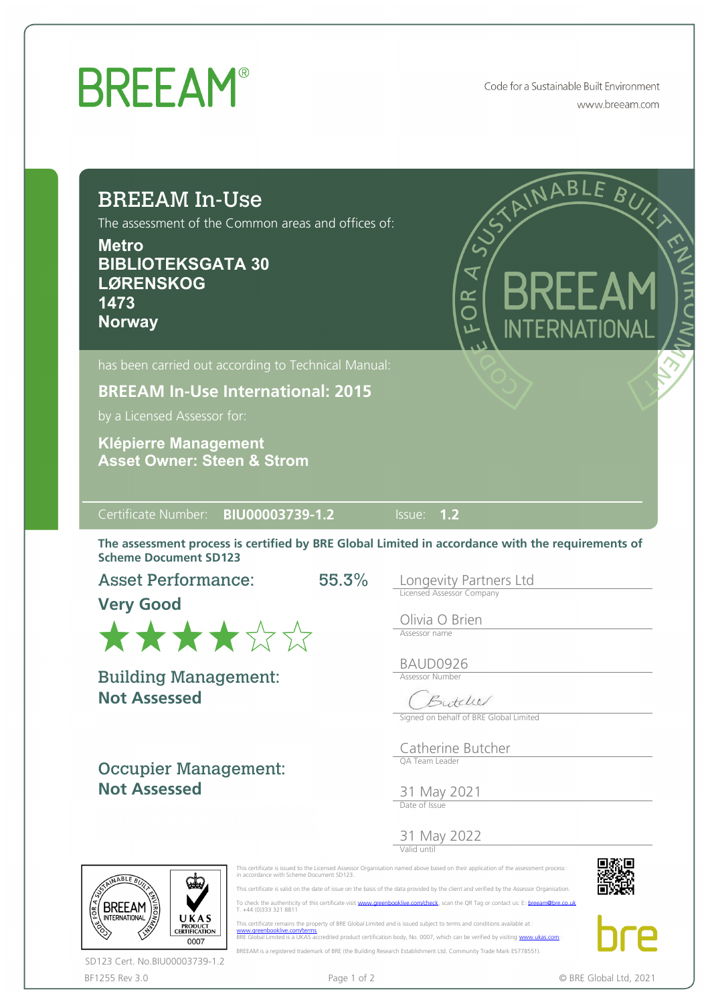## **BREEAM®**

Code for a Sustainable Built Environment www.breeam.com

ABL

BURN

## BREEAM In-Use The assessment of the Common areas and offices of: **Metro BIBLIOTEKSGATA 30**   $\overline{\mathbf{X}}$ **LØRENSKOG**   $\frac{R}{Q}$ **1473 Norway**

**BREEAM In-Use International: 2015**

by a Licensed Assessor for:

**Asset Owner: Steen & Strom Klépierre Management**

Certificate Number: **BIU00003739-1.2** Issue: **1.2**

The assessment process is certified by BRE Global Limited in accordance with the requirements of Scheme Document SD123

55.3%

Asset Performance:

**Very Good**



**Not Assessed** Building Management:

Occupier Management: **Not Assessed**

Longevity Partners Ltd Licensed Assessor Company

Olivia O Brien Assessor name

BAUD0926 Assessor Number

Butcher

Signed on behalf of BRE Global Limited

Catherine Butcher QA Team Leader

31 May 2021 Date of Issue

31 May 2022

Valid until





 This certificate remains the property of BRE Global Limited and is issued subject to terms and conditions available at [www.greenbooklive.com/terms](http://www.greenbooklive.com/terms)¤<br>BRE Global Limited is a UKAS accredited product certification body, No. 0007, which can be verified by visiting [www.ukas.com](http://www.ukas.com/) BREEAM is a registered trademark of BRE (the Building Research Establishment Ltd. Community Trade Mark E5778551).





BF1255 Rev 3.0 **Page 1 of 2** Page 1 of 2 © BRE Global Ltd, 2021 SD123 Cert. No.BIU00003739-1.2